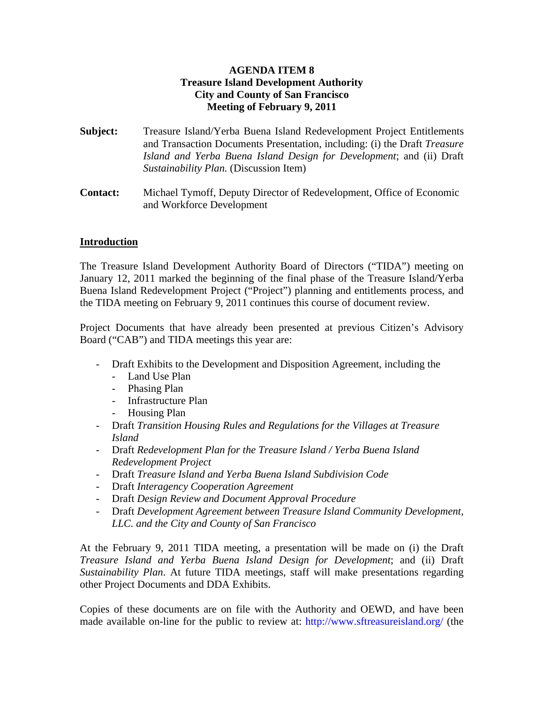#### **AGENDA ITEM 8 Treasure Island Development Authority City and County of San Francisco Meeting of February 9, 2011**

- **Subject:** Treasure Island/Yerba Buena Island Redevelopment Project Entitlements and Transaction Documents Presentation, including: (i) the Draft *Treasure Island and Yerba Buena Island Design for Development*; and (ii) Draft *Sustainability Plan.* (Discussion Item)
- **Contact:** Michael Tymoff, Deputy Director of Redevelopment, Office of Economic and Workforce Development

#### **Introduction**

The Treasure Island Development Authority Board of Directors ("TIDA") meeting on January 12, 2011 marked the beginning of the final phase of the Treasure Island/Yerba Buena Island Redevelopment Project ("Project") planning and entitlements process, and the TIDA meeting on February 9, 2011 continues this course of document review.

Project Documents that have already been presented at previous Citizen's Advisory Board ("CAB") and TIDA meetings this year are:

- Draft Exhibits to the Development and Disposition Agreement, including the
	- Land Use Plan
	- Phasing Plan
	- Infrastructure Plan
	- Housing Plan
- Draft *Transition Housing Rules and Regulations for the Villages at Treasure Island*
- Draft *Redevelopment Plan for the Treasure Island / Yerba Buena Island Redevelopment Project*
- Draft *Treasure Island and Yerba Buena Island Subdivision Code*
- Draft *Interagency Cooperation Agreement*
- Draft *Design Review and Document Approval Procedure*
- Draft *Development Agreement between Treasure Island Community Development, LLC. and the City and County of San Francisco*

At the February 9, 2011 TIDA meeting, a presentation will be made on (i) the Draft *Treasure Island and Yerba Buena Island Design for Development*; and (ii) Draft *Sustainability Plan*. At future TIDA meetings, staff will make presentations regarding other Project Documents and DDA Exhibits.

Copies of these documents are on file with the Authority and OEWD, and have been made available on-line for the public to review at: http://www.sftreasureisland.org/ (the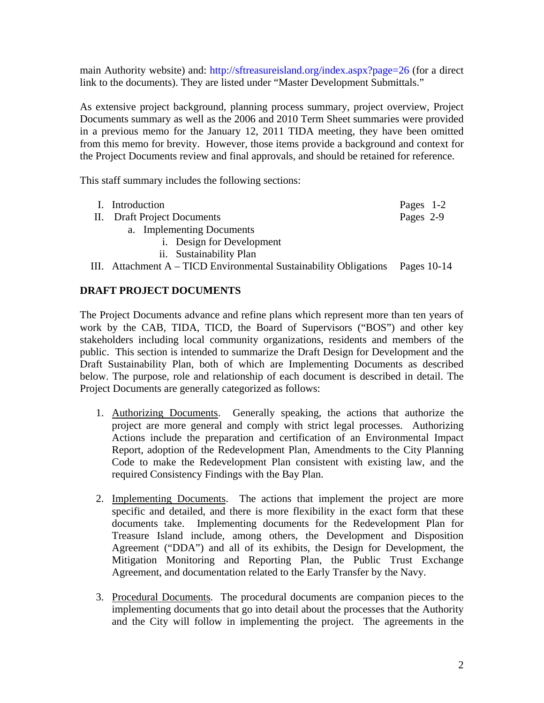main Authority website) and: http://sftreasureisland.org/index.aspx?page=26 (for a direct link to the documents). They are listed under "Master Development Submittals."

As extensive project background, planning process summary, project overview, Project Documents summary as well as the 2006 and 2010 Term Sheet summaries were provided in a previous memo for the January 12, 2011 TIDA meeting, they have been omitted from this memo for brevity. However, those items provide a background and context for the Project Documents review and final approvals, and should be retained for reference.

This staff summary includes the following sections:

| I. Introduction                                                   | Pages 1-2     |
|-------------------------------------------------------------------|---------------|
| II. Draft Project Documents                                       | Pages 2-9     |
| a. Implementing Documents                                         |               |
| <i>i.</i> Design for Development                                  |               |
| ii. Sustainability Plan                                           |               |
| III. Attachment A – TICD Environmental Sustainability Obligations | Pages $10-14$ |

#### **DRAFT PROJECT DOCUMENTS**

The Project Documents advance and refine plans which represent more than ten years of work by the CAB, TIDA, TICD, the Board of Supervisors ("BOS") and other key stakeholders including local community organizations, residents and members of the public. This section is intended to summarize the Draft Design for Development and the Draft Sustainability Plan, both of which are Implementing Documents as described below. The purpose, role and relationship of each document is described in detail. The Project Documents are generally categorized as follows:

- 1. Authorizing Documents. Generally speaking, the actions that authorize the project are more general and comply with strict legal processes. Authorizing Actions include the preparation and certification of an Environmental Impact Report, adoption of the Redevelopment Plan, Amendments to the City Planning Code to make the Redevelopment Plan consistent with existing law, and the required Consistency Findings with the Bay Plan.
- 2. Implementing Documents. The actions that implement the project are more specific and detailed, and there is more flexibility in the exact form that these documents take. Implementing documents for the Redevelopment Plan for Treasure Island include, among others, the Development and Disposition Agreement ("DDA") and all of its exhibits, the Design for Development, the Mitigation Monitoring and Reporting Plan, the Public Trust Exchange Agreement, and documentation related to the Early Transfer by the Navy.
- 3. Procedural Documents. The procedural documents are companion pieces to the implementing documents that go into detail about the processes that the Authority and the City will follow in implementing the project. The agreements in the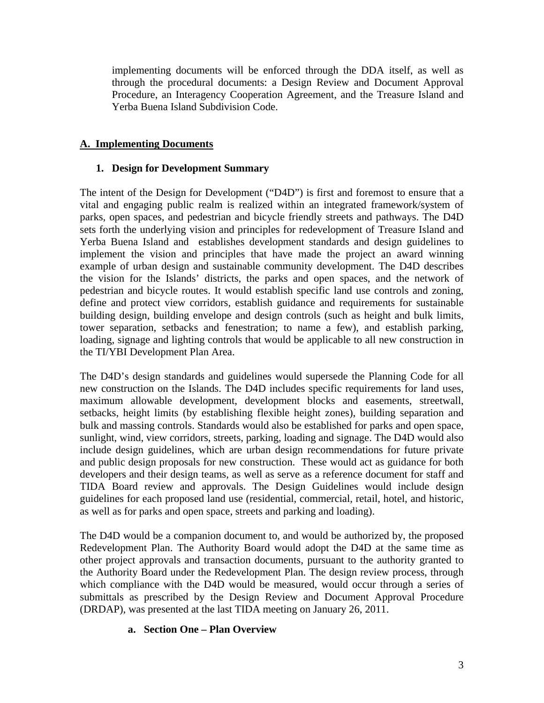implementing documents will be enforced through the DDA itself, as well as through the procedural documents: a Design Review and Document Approval Procedure, an Interagency Cooperation Agreement, and the Treasure Island and Yerba Buena Island Subdivision Code.

#### **A. Implementing Documents**

#### **1. Design for Development Summary**

The intent of the Design for Development ("D4D") is first and foremost to ensure that a vital and engaging public realm is realized within an integrated framework/system of parks, open spaces, and pedestrian and bicycle friendly streets and pathways. The D4D sets forth the underlying vision and principles for redevelopment of Treasure Island and Yerba Buena Island and establishes development standards and design guidelines to implement the vision and principles that have made the project an award winning example of urban design and sustainable community development. The D4D describes the vision for the Islands' districts, the parks and open spaces, and the network of pedestrian and bicycle routes. It would establish specific land use controls and zoning, define and protect view corridors, establish guidance and requirements for sustainable building design, building envelope and design controls (such as height and bulk limits, tower separation, setbacks and fenestration; to name a few), and establish parking, loading, signage and lighting controls that would be applicable to all new construction in the TI/YBI Development Plan Area.

The D4D's design standards and guidelines would supersede the Planning Code for all new construction on the Islands. The D4D includes specific requirements for land uses, maximum allowable development, development blocks and easements, streetwall, setbacks, height limits (by establishing flexible height zones), building separation and bulk and massing controls. Standards would also be established for parks and open space, sunlight, wind, view corridors, streets, parking, loading and signage. The D4D would also include design guidelines, which are urban design recommendations for future private and public design proposals for new construction. These would act as guidance for both developers and their design teams, as well as serve as a reference document for staff and TIDA Board review and approvals. The Design Guidelines would include design guidelines for each proposed land use (residential, commercial, retail, hotel, and historic, as well as for parks and open space, streets and parking and loading).

The D4D would be a companion document to, and would be authorized by, the proposed Redevelopment Plan. The Authority Board would adopt the D4D at the same time as other project approvals and transaction documents, pursuant to the authority granted to the Authority Board under the Redevelopment Plan. The design review process, through which compliance with the D4D would be measured, would occur through a series of submittals as prescribed by the Design Review and Document Approval Procedure (DRDAP), was presented at the last TIDA meeting on January 26, 2011. Ĭ

#### **a. Section One – Plan Overview**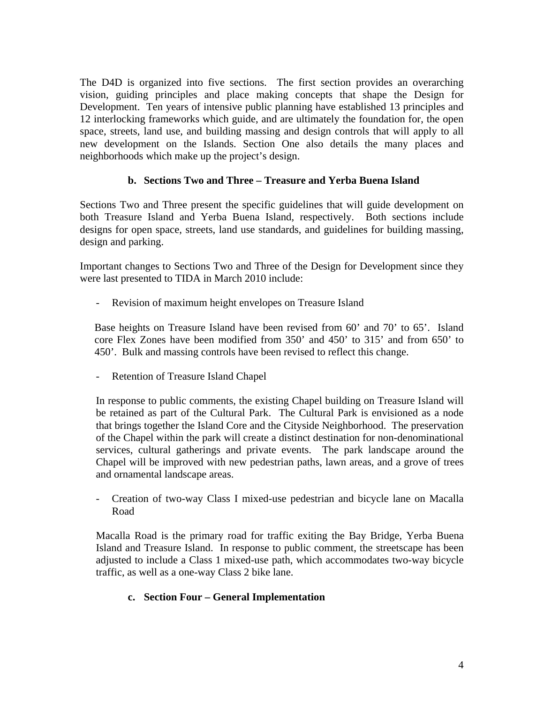The D4D is organized into five sections. The first section provides an overarching vision, guiding principles and place making concepts that shape the Design for Development. Ten years of intensive public planning have established 13 principles and 12 interlocking frameworks which guide, and are ultimately the foundation for, the open space, streets, land use, and building massing and design controls that will apply to all new development on the Islands. Section One also details the many places and neighborhoods which make up the project's design.

#### **b. Sections Two and Three – Treasure and Yerba Buena Island**

Sections Two and Three present the specific guidelines that will guide development on both Treasure Island and Yerba Buena Island, respectively. Both sections include designs for open space, streets, land use standards, and guidelines for building massing, design and parking.

Important changes to Sections Two and Three of the Design for Development since they were last presented to TIDA in March 2010 include:

- Revision of maximum height envelopes on Treasure Island

Base heights on Treasure Island have been revised from 60' and 70' to 65'. Island core Flex Zones have been modified from 350' and 450' to 315' and from 650' to 450'. Bulk and massing controls have been revised to reflect this change.

- Retention of Treasure Island Chapel

In response to public comments, the existing Chapel building on Treasure Island will be retained as part of the Cultural Park. The Cultural Park is envisioned as a node that brings together the Island Core and the Cityside Neighborhood. The preservation of the Chapel within the park will create a distinct destination for non-denominational services, cultural gatherings and private events. The park landscape around the Chapel will be improved with new pedestrian paths, lawn areas, and a grove of trees and ornamental landscape areas.

- Creation of two-way Class I mixed-use pedestrian and bicycle lane on Macalla Road

Macalla Road is the primary road for traffic exiting the Bay Bridge, Yerba Buena Island and Treasure Island. In response to public comment, the streetscape has been adjusted to include a Class 1 mixed-use path, which accommodates two-way bicycle traffic, as well as a one-way Class 2 bike lane.

#### **c. Section Four – General Implementation**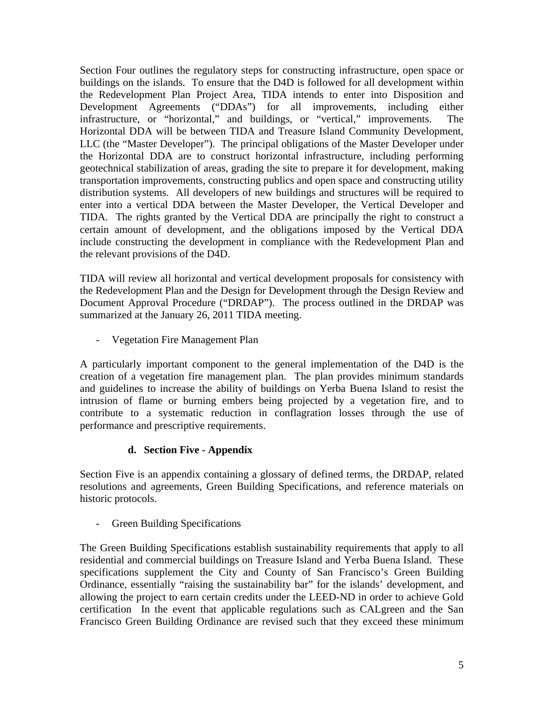Section Four outlines the regulatory steps for constructing infrastructure, open space or buildings on the islands. To ensure that the D4D is followed for all development within the Redevelopment Plan Project Area, TIDA intends to enter into Disposition and Development Agreements ("DDAs") for all improvements, including either infrastructure, or "horizontal," and buildings, or "vertical," improvements. The Horizontal DDA will be between TIDA and Treasure Island Community Development, LLC (the "Master Developer"). The principal obligations of the Master Developer under the Horizontal DDA are to construct horizontal infrastructure, including performing geotechnical stabilization of areas, grading the site to prepare it for development, making transportation improvements, constructing publics and open space and constructing utility distribution systems. All developers of new buildings and structures will be required to enter into a vertical DDA between the Master Developer, the Vertical Developer and TIDA. The rights granted by the Vertical DDA are principally the right to construct a certain amount of development, and the obligations imposed by the Vertical DDA include constructing the development in compliance with the Redevelopment Plan and the relevant provisions of the D4D.

TIDA will review all horizontal and vertical development proposals for consistency with the Redevelopment Plan and the Design for Development through the Design Review and Document Approval Procedure ("DRDAP"). The process outlined in the DRDAP was summarized at the January 26, 2011 TIDA meeting.

- Vegetation Fire Management Plan

A particularly important component to the general implementation of the D4D is the creation of a vegetation fire management plan. The plan provides minimum standards and guidelines to increase the ability of buildings on Yerba Buena Island to resist the intrusion of flame or burning embers being projected by a vegetation fire, and to contribute to a systematic reduction in conflagration losses through the use of performance and prescriptive requirements.

#### **d. Section Five - Appendix**

Section Five is an appendix containing a glossary of defined terms, the DRDAP, related resolutions and agreements, Green Building Specifications, and reference materials on historic protocols.

- Green Building Specifications

The Green Building Specifications establish sustainability requirements that apply to all residential and commercial buildings on Treasure Island and Yerba Buena Island. These specifications supplement the City and County of San Francisco's Green Building Ordinance, essentially "raising the sustainability bar" for the islands' development, and allowing the project to earn certain credits under the LEED-ND in order to achieve Gold certification In the event that applicable regulations such as CALgreen and the San Francisco Green Building Ordinance are revised such that they exceed these minimum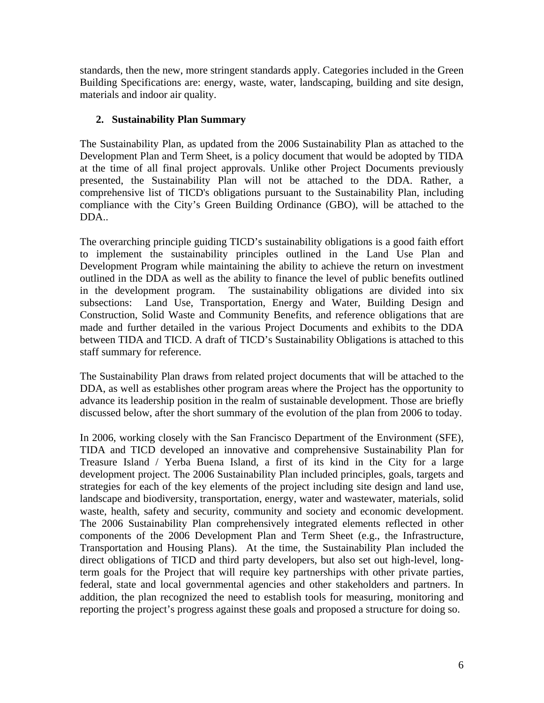standards, then the new, more stringent standards apply. Categories included in the Green Building Specifications are: energy, waste, water, landscaping, building and site design, materials and indoor air quality.

#### **2. Sustainability Plan Summary**

The Sustainability Plan, as updated from the 2006 Sustainability Plan as attached to the Development Plan and Term Sheet, is a policy document that would be adopted by TIDA at the time of all final project approvals. Unlike other Project Documents previously presented, the Sustainability Plan will not be attached to the DDA. Rather, a comprehensive list of TICD's obligations pursuant to the Sustainability Plan, including compliance with the City's Green Building Ordinance (GBO), will be attached to the DDA..

The overarching principle guiding TICD's sustainability obligations is a good faith effort to implement the sustainability principles outlined in the Land Use Plan and Development Program while maintaining the ability to achieve the return on investment outlined in the DDA as well as the ability to finance the level of public benefits outlined in the development program. The sustainability obligations are divided into six subsections: Land Use, Transportation, Energy and Water, Building Design and Construction, Solid Waste and Community Benefits, and reference obligations that are made and further detailed in the various Project Documents and exhibits to the DDA between TIDA and TICD. A draft of TICD's Sustainability Obligations is attached to this staff summary for reference.

The Sustainability Plan draws from related project documents that will be attached to the DDA, as well as establishes other program areas where the Project has the opportunity to advance its leadership position in the realm of sustainable development. Those are briefly discussed below, after the short summary of the evolution of the plan from 2006 to today.

In 2006, working closely with the San Francisco Department of the Environment (SFE), TIDA and TICD developed an innovative and comprehensive Sustainability Plan for Treasure Island / Yerba Buena Island, a first of its kind in the City for a large development project. The 2006 Sustainability Plan included principles, goals, targets and strategies for each of the key elements of the project including site design and land use, landscape and biodiversity, transportation, energy, water and wastewater, materials, solid waste, health, safety and security, community and society and economic development. The 2006 Sustainability Plan comprehensively integrated elements reflected in other components of the 2006 Development Plan and Term Sheet (e.g., the Infrastructure, Transportation and Housing Plans). At the time, the Sustainability Plan included the direct obligations of TICD and third party developers, but also set out high-level, longterm goals for the Project that will require key partnerships with other private parties, federal, state and local governmental agencies and other stakeholders and partners. In addition, the plan recognized the need to establish tools for measuring, monitoring and reporting the project's progress against these goals and proposed a structure for doing so.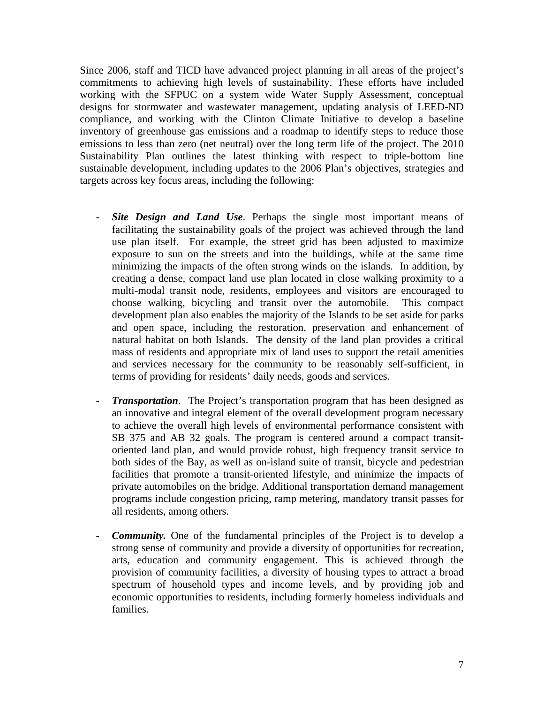Since 2006, staff and TICD have advanced project planning in all areas of the project's commitments to achieving high levels of sustainability. These efforts have included working with the SFPUC on a system wide Water Supply Assessment, conceptual designs for stormwater and wastewater management, updating analysis of LEED-ND compliance, and working with the Clinton Climate Initiative to develop a baseline inventory of greenhouse gas emissions and a roadmap to identify steps to reduce those emissions to less than zero (net neutral) over the long term life of the project. The 2010 Sustainability Plan outlines the latest thinking with respect to triple-bottom line sustainable development, including updates to the 2006 Plan's objectives, strategies and targets across key focus areas, including the following:

- *Site Design and Land Use*. Perhaps the single most important means of facilitating the sustainability goals of the project was achieved through the land use plan itself. For example, the street grid has been adjusted to maximize exposure to sun on the streets and into the buildings, while at the same time minimizing the impacts of the often strong winds on the islands. In addition, by creating a dense, compact land use plan located in close walking proximity to a multi-modal transit node, residents, employees and visitors are encouraged to choose walking, bicycling and transit over the automobile. This compact development plan also enables the majority of the Islands to be set aside for parks and open space, including the restoration, preservation and enhancement of natural habitat on both Islands. The density of the land plan provides a critical mass of residents and appropriate mix of land uses to support the retail amenities and services necessary for the community to be reasonably self-sufficient, in terms of providing for residents' daily needs, goods and services.
- *Transportation.* The Project's transportation program that has been designed as an innovative and integral element of the overall development program necessary to achieve the overall high levels of environmental performance consistent with SB 375 and AB 32 goals. The program is centered around a compact transitoriented land plan, and would provide robust, high frequency transit service to both sides of the Bay, as well as on-island suite of transit, bicycle and pedestrian facilities that promote a transit-oriented lifestyle, and minimize the impacts of private automobiles on the bridge. Additional transportation demand management programs include congestion pricing, ramp metering, mandatory transit passes for all residents, among others.
- *Community.* One of the fundamental principles of the Project is to develop a strong sense of community and provide a diversity of opportunities for recreation, arts, education and community engagement. This is achieved through the provision of community facilities, a diversity of housing types to attract a broad spectrum of household types and income levels, and by providing job and economic opportunities to residents, including formerly homeless individuals and families.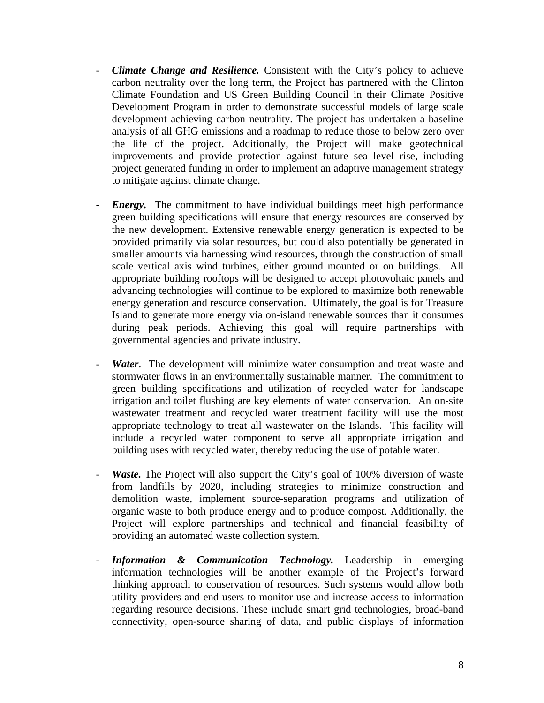- *Climate Change and Resilience.* Consistent with the City's policy to achieve carbon neutrality over the long term, the Project has partnered with the Clinton Climate Foundation and US Green Building Council in their Climate Positive Development Program in order to demonstrate successful models of large scale development achieving carbon neutrality. The project has undertaken a baseline analysis of all GHG emissions and a roadmap to reduce those to below zero over the life of the project. Additionally, the Project will make geotechnical improvements and provide protection against future sea level rise, including project generated funding in order to implement an adaptive management strategy to mitigate against climate change.
- *Energy*. The commitment to have individual buildings meet high performance green building specifications will ensure that energy resources are conserved by the new development. Extensive renewable energy generation is expected to be provided primarily via solar resources, but could also potentially be generated in smaller amounts via harnessing wind resources, through the construction of small scale vertical axis wind turbines, either ground mounted or on buildings. All appropriate building rooftops will be designed to accept photovoltaic panels and advancing technologies will continue to be explored to maximize both renewable energy generation and resource conservation. Ultimately, the goal is for Treasure Island to generate more energy via on-island renewable sources than it consumes during peak periods. Achieving this goal will require partnerships with governmental agencies and private industry.
- Water. The development will minimize water consumption and treat waste and stormwater flows in an environmentally sustainable manner. The commitment to green building specifications and utilization of recycled water for landscape irrigation and toilet flushing are key elements of water conservation. An on-site wastewater treatment and recycled water treatment facility will use the most appropriate technology to treat all wastewater on the Islands. This facility will include a recycled water component to serve all appropriate irrigation and building uses with recycled water, thereby reducing the use of potable water.
- *Waste.* The Project will also support the City's goal of 100% diversion of waste from landfills by 2020, including strategies to minimize construction and demolition waste, implement source-separation programs and utilization of organic waste to both produce energy and to produce compost. Additionally, the Project will explore partnerships and technical and financial feasibility of providing an automated waste collection system.
- *Information & Communication Technology.* Leadership in emerging information technologies will be another example of the Project's forward thinking approach to conservation of resources. Such systems would allow both utility providers and end users to monitor use and increase access to information regarding resource decisions. These include smart grid technologies, broad-band connectivity, open-source sharing of data, and public displays of information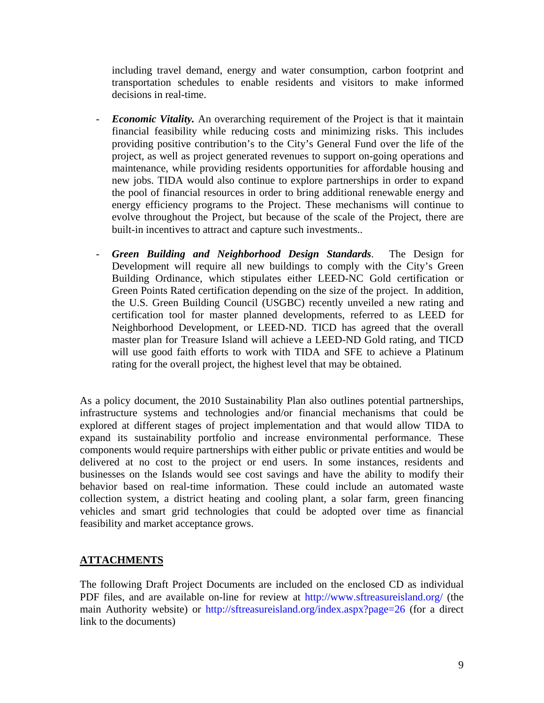including travel demand, energy and water consumption, carbon footprint and transportation schedules to enable residents and visitors to make informed decisions in real-time.

- *Economic Vitality.* An overarching requirement of the Project is that it maintain financial feasibility while reducing costs and minimizing risks. This includes providing positive contribution's to the City's General Fund over the life of the project, as well as project generated revenues to support on-going operations and maintenance, while providing residents opportunities for affordable housing and new jobs. TIDA would also continue to explore partnerships in order to expand the pool of financial resources in order to bring additional renewable energy and energy efficiency programs to the Project. These mechanisms will continue to evolve throughout the Project, but because of the scale of the Project, there are built-in incentives to attract and capture such investments..
- *Green Building and Neighborhood Design Standards*. The Design for Development will require all new buildings to comply with the City's Green Building Ordinance, which stipulates either LEED-NC Gold certification or Green Points Rated certification depending on the size of the project. In addition, the U.S. Green Building Council (USGBC) recently unveiled a new rating and certification tool for master planned developments, referred to as LEED for Neighborhood Development, or LEED-ND. TICD has agreed that the overall master plan for Treasure Island will achieve a LEED-ND Gold rating, and TICD will use good faith efforts to work with TIDA and SFE to achieve a Platinum rating for the overall project, the highest level that may be obtained.

As a policy document, the 2010 Sustainability Plan also outlines potential partnerships, infrastructure systems and technologies and/or financial mechanisms that could be explored at different stages of project implementation and that would allow TIDA to expand its sustainability portfolio and increase environmental performance. These components would require partnerships with either public or private entities and would be delivered at no cost to the project or end users. In some instances, residents and businesses on the Islands would see cost savings and have the ability to modify their behavior based on real-time information. These could include an automated waste collection system, a district heating and cooling plant, a solar farm, green financing vehicles and smart grid technologies that could be adopted over time as financial feasibility and market acceptance grows.

#### **ATTACHMENTS**

The following Draft Project Documents are included on the enclosed CD as individual PDF files, and are available on-line for review at http://www.sftreasureisland.org/ (the main Authority website) or http://sftreasureisland.org/index.aspx?page=26 (for a direct link to the documents)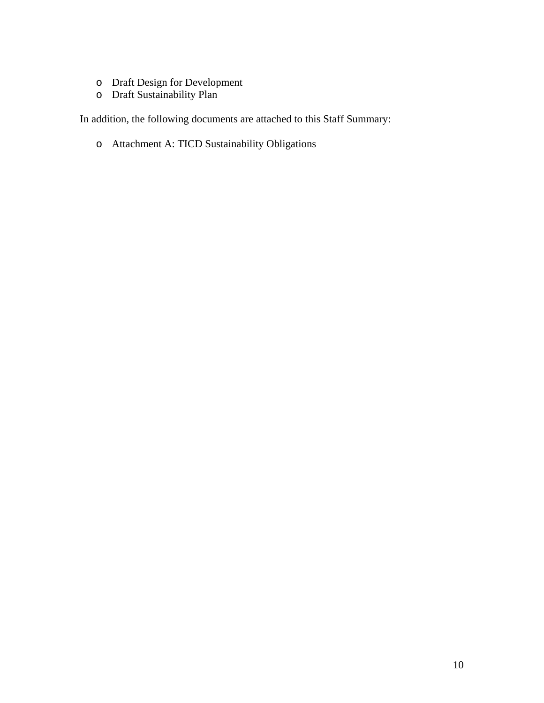- o Draft Design for Development
- o Draft Sustainability Plan

In addition, the following documents are attached to this Staff Summary:

o Attachment A: TICD Sustainability Obligations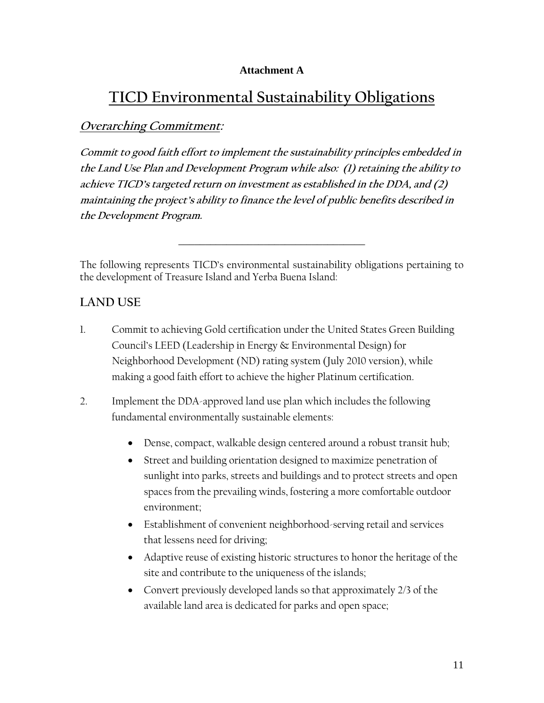#### **Attachment A**

# **TICD Environmental Sustainability Obligations**

### **Overarching Commitment:**

**Commit to good faith effort to implement the sustainability principles embedded in the Land Use Plan and Development Program while also: (1) retaining the ability to achieve TICD's targeted return on investment as established in the DDA, and (2) maintaining the project's ability to finance the level of public benefits described in the Development Program.**

The following represents TICD's environmental sustainability obligations pertaining to the development of Treasure Island and Yerba Buena Island:

\_\_\_\_\_\_\_\_\_\_\_\_\_\_\_\_\_\_\_\_\_\_\_\_\_\_\_\_\_\_\_\_\_\_\_

# **LAND USE**

- 1. Commit to achieving Gold certification under the United States Green Building Council's LEED (Leadership in Energy & Environmental Design) for Neighborhood Development (ND) rating system (July 2010 version), while making a good faith effort to achieve the higher Platinum certification.
- 2. Implement the DDA-approved land use plan which includes the following fundamental environmentally sustainable elements:
	- Dense, compact, walkable design centered around a robust transit hub;
	- Street and building orientation designed to maximize penetration of sunlight into parks, streets and buildings and to protect streets and open spaces from the prevailing winds, fostering a more comfortable outdoor environment;
	- Establishment of convenient neighborhood-serving retail and services that lessens need for driving;
	- Adaptive reuse of existing historic structures to honor the heritage of the site and contribute to the uniqueness of the islands;
	- Convert previously developed lands so that approximately 2/3 of the available land area is dedicated for parks and open space;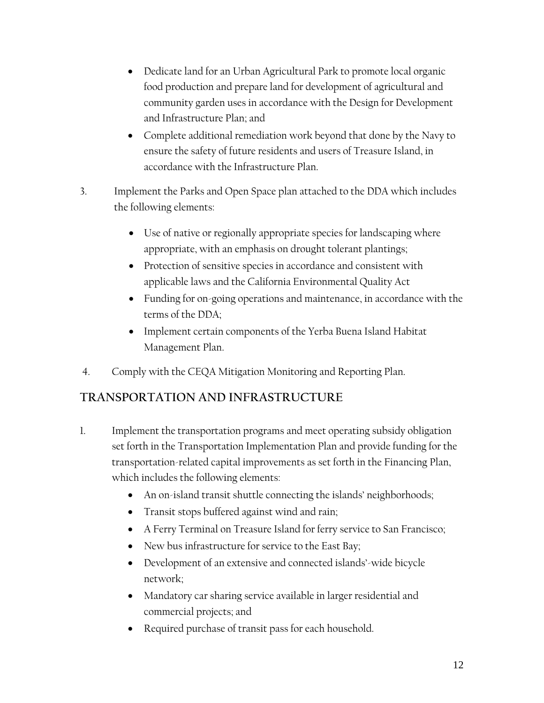- Dedicate land for an Urban Agricultural Park to promote local organic food production and prepare land for development of agricultural and community garden uses in accordance with the Design for Development and Infrastructure Plan; and
- Complete additional remediation work beyond that done by the Navy to ensure the safety of future residents and users of Treasure Island, in accordance with the Infrastructure Plan.
- 3. Implement the Parks and Open Space plan attached to the DDA which includes the following elements:
	- Use of native or regionally appropriate species for landscaping where appropriate, with an emphasis on drought tolerant plantings;
	- Protection of sensitive species in accordance and consistent with applicable laws and the California Environmental Quality Act
	- Funding for on-going operations and maintenance, in accordance with the terms of the DDA;
	- Implement certain components of the Yerba Buena Island Habitat Management Plan.
- 4. Comply with the CEQA Mitigation Monitoring and Reporting Plan.

# **TRANSPORTATION AND INFRASTRUCTURE**

- 1. Implement the transportation programs and meet operating subsidy obligation set forth in the Transportation Implementation Plan and provide funding for the transportation-related capital improvements as set forth in the Financing Plan, which includes the following elements:
	- An on-island transit shuttle connecting the islands' neighborhoods;
	- Transit stops buffered against wind and rain;
	- A Ferry Terminal on Treasure Island for ferry service to San Francisco;
	- New bus infrastructure for service to the East Bay;
	- Development of an extensive and connected islands'-wide bicycle network;
	- Mandatory car sharing service available in larger residential and commercial projects; and
	- Required purchase of transit pass for each household.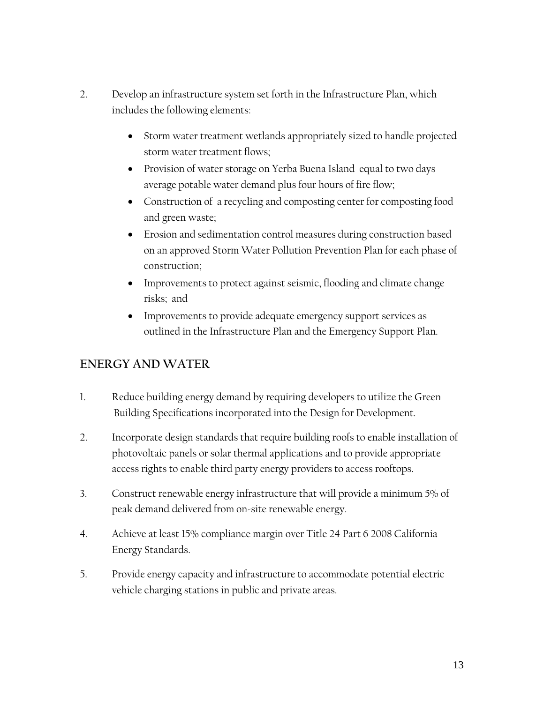- 2. Develop an infrastructure system set forth in the Infrastructure Plan, which includes the following elements:
	- Storm water treatment wetlands appropriately sized to handle projected storm water treatment flows;
	- Provision of water storage on Yerba Buena Island equal to two days average potable water demand plus four hours of fire flow;
	- Construction of a recycling and composting center for composting food and green waste;
	- Erosion and sedimentation control measures during construction based on an approved Storm Water Pollution Prevention Plan for each phase of construction;
	- Improvements to protect against seismic, flooding and climate change risks; and
	- Improvements to provide adequate emergency support services as outlined in the Infrastructure Plan and the Emergency Support Plan.

# **ENERGY AND WATER**

- 1. Reduce building energy demand by requiring developers to utilize the Green Building Specifications incorporated into the Design for Development.
- 2. Incorporate design standards that require building roofs to enable installation of photovoltaic panels or solar thermal applications and to provide appropriate access rights to enable third party energy providers to access rooftops.
- 3. Construct renewable energy infrastructure that will provide a minimum 5% of peak demand delivered from on-site renewable energy.
- 4. Achieve at least 15% compliance margin over Title 24 Part 6 2008 California Energy Standards.
- 5. Provide energy capacity and infrastructure to accommodate potential electric vehicle charging stations in public and private areas.